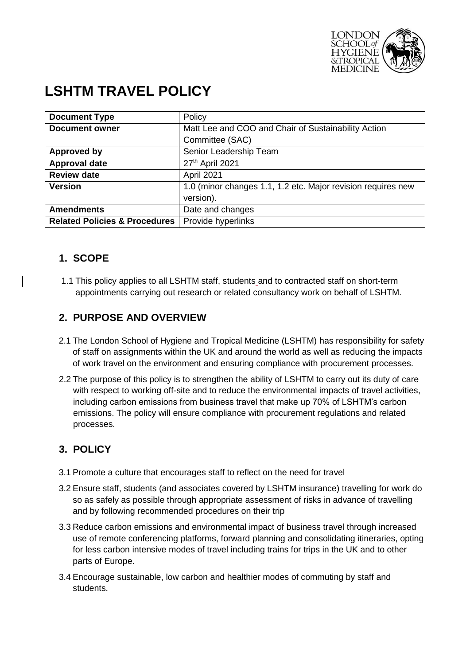

# **LSHTM TRAVEL POLICY**

| <b>Document Type</b>                     | Policy                                                       |
|------------------------------------------|--------------------------------------------------------------|
| <b>Document owner</b>                    | Matt Lee and COO and Chair of Sustainability Action          |
|                                          | Committee (SAC)                                              |
| <b>Approved by</b>                       | Senior Leadership Team                                       |
| <b>Approval date</b>                     | 27th April 2021                                              |
| <b>Review date</b>                       | April 2021                                                   |
| <b>Version</b>                           | 1.0 (minor changes 1.1, 1.2 etc. Major revision requires new |
|                                          | version).                                                    |
| <b>Amendments</b>                        | Date and changes                                             |
| <b>Related Policies &amp; Procedures</b> | Provide hyperlinks                                           |

## **1. SCOPE**

1.1 This policy applies to all LSHTM staff, students and to contracted staff on short-term appointments carrying out research or related consultancy work on behalf of LSHTM.

## **2. PURPOSE AND OVERVIEW**

- 2.1 The London School of Hygiene and Tropical Medicine (LSHTM) has responsibility for safety of staff on assignments within the UK and around the world as well as reducing the impacts of work travel on the environment and ensuring compliance with procurement processes.
- 2.2 The purpose of this policy is to strengthen the ability of LSHTM to carry out its duty of care with respect to working off-site and to reduce the environmental impacts of travel activities, including carbon emissions from business travel that make up 70% of LSHTM's carbon emissions. The policy will ensure compliance with procurement regulations and related processes.

# **3. POLICY**

- 3.1 Promote a culture that encourages staff to reflect on the need for travel
- 3.2 Ensure staff, students (and associates covered by LSHTM insurance) travelling for work do so as safely as possible through appropriate assessment of risks in advance of travelling and by following recommended procedures on their trip
- 3.3 Reduce carbon emissions and environmental impact of business travel through increased use of remote conferencing platforms, forward planning and consolidating itineraries, opting for less carbon intensive modes of travel including trains for trips in the UK and to other parts of Europe.
- 3.4 Encourage sustainable, low carbon and healthier modes of commuting by staff and students.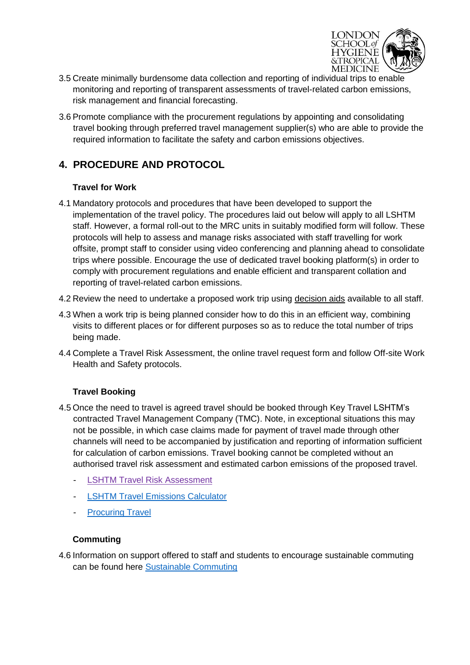

- 3.5 Create minimally burdensome data collection and reporting of individual trips to enable monitoring and reporting of transparent assessments of travel-related carbon emissions, risk management and financial forecasting.
- 3.6 Promote compliance with the procurement regulations by appointing and consolidating travel booking through preferred travel management supplier(s) who are able to provide the required information to facilitate the safety and carbon emissions objectives.

# **4. PROCEDURE AND PROTOCOL**

#### **Travel for Work**

- 4.1 Mandatory protocols and procedures that have been developed to support the implementation of the travel policy. The procedures laid out below will apply to all LSHTM staff. However, a formal roll-out to the MRC units in suitably modified form will follow. These protocols will help to assess and manage risks associated with staff travelling for work offsite, prompt staff to consider using video conferencing and planning ahead to consolidate trips where possible. Encourage the use of dedicated travel booking platform(s) in order to comply with procurement regulations and enable efficient and transparent collation and reporting of travel-related carbon emissions.
- 4.2 Review the need to undertake a proposed work trip using [decision aids](https://lshtm.sharepoint.com/Services/travel/PublishingImages/Pages/guides/Travel%20Process%20Flow%20Chart%20July_Dec%202020.pdf) available to all staff.
- 4.3 When a work trip is being planned consider how to do this in an efficient way, combining visits to different places or for different purposes so as to reduce the total number of trips being made.
- 4.4 Complete a Travel Risk Assessment, the online travel request form and follow Off-site Work Health and Safety protocols.

#### **Travel Booking**

- 4.5 Once the need to travel is agreed travel should be booked through Key Travel LSHTM's contracted Travel Management Company (TMC). Note, in exceptional situations this may not be possible, in which case claims made for payment of travel made through other channels will need to be accompanied by justification and reporting of information sufficient for calculation of carbon emissions. Travel booking cannot be completed without an authorised travel risk assessment and estimated carbon emissions of the proposed travel.
	- [LSHTM Travel Risk Assessment](https://lshtm.sharepoint.com/Services/travel/)
	- [LSHTM Travel Emissions Calculator](https://travelemissionscalculator.jrpsolutions.com/)
	- **[Procuring Travel](https://lshtm.sharepoint.com/Services/Procurement/Pages/Suppliers/Travel.aspx)**

#### **Commuting**

4.6 Information on support offered to staff and students to encourage sustainable commuting can be found here [Sustainable Commuting](https://lshtm.sharepoint.com/Services/Estates/Pages/Commuting.aspx)